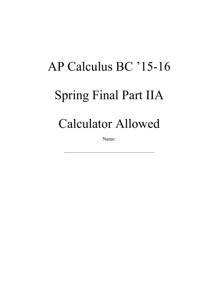## AP Calculus BC '15-16 Spring Final Part IIA Calculator Allowed

Name: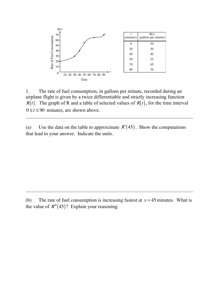

1. The rate of fuel consumption, in gallons per minute, recorded during an airplane flight is given by a twice differentiable and strictly increasing function  $R(t)$ . The graph of R and a table of selected values of  $R(t)$ , for the time interval  $0 \le t \le 90$  minutes, are shown above.

(a) Use the data on the table to approximate  $R'(45)$ . Show the computations that lead to your answer. Indicate the units.

<sup>(</sup>b) The rate of fuel consumption is increasing fastest at  $x = 45$  minutes. What is the value of  $R''(45)$ ? Explain your reasoning.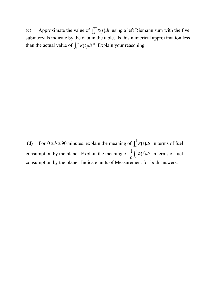(c) Approximate the value of  $\int_0^{\infty} R(t) dt$  using a left Riemann sum with the five subintervals indicate by the data in the table. Is this numerical approximation less than the actual value of  $\int_0^{90} R(t) dt$ ? Explain your reasoning.

(d) For  $0 \le b \le 90$  minutes, explain the meaning of  $\int_0^b R(t) dt$  in terms of fuel consumption by the plane. Explain the meaning of  $\frac{1}{b} \int_0^b R(t) dt$  in terms of fuel consumption by the plane. Indicate units of Measurement for both answers.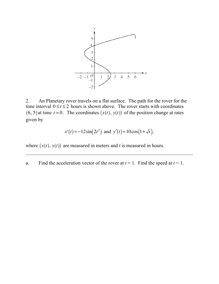

2. An Planetary rover travels on a flat surface. The path for the rover for the time interval  $0 \le t \le 2$  hours is shown above. The rover starts with coordinates  $(6, 5)$  at time  $t = 0$ . The coordinates  $(x(t), y(t))$  of the position change at rates given by

$$
x'(t) = -12\sin(2t^2)
$$
 and  $y'(t) = 10\cos(1+\sqrt{t})$ ,

where  $(x(t), y(t))$  are measured in meters and *t* is measured in hours.

a. Find the acceleration vector of the rover at  $t = 1$ . Find the speed at  $t = 1$ .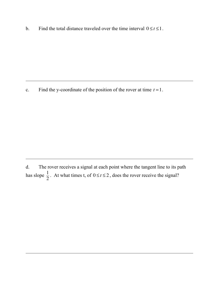b. Find the total distance traveled over the time interval  $0 \le t \le 1$ .

c. Find the y-coordinate of the position of the rover at time  $t = 1$ .

d. The rover receives a signal at each point where the tangent line to its path has slope  $\frac{1}{2}$ . At what times t, of  $0 \le t \le 2$ , does the rover receive the signal?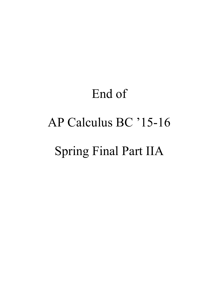## End of AP Calculus BC '15-16 Spring Final Part IIA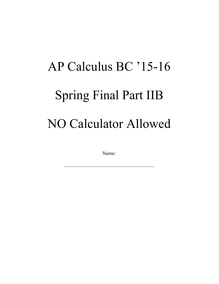## AP Calculus BC '15-16 Spring Final Part IIB NO Calculator Allowed

Name: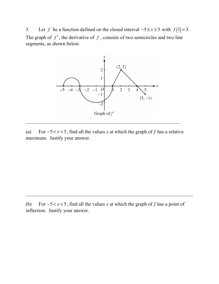3. Let *f* be a function defined on the closed interval  $-5 \le x \le 5$  with  $f(1)=3$ . The graph of  $f'$ , the derivative of  $f$ , consists of two semicircles and two line segments, as shown below.



(a) For −5< *x* < 5, find all the values *x* at which the graph of *f* has a relative maximum. Justify your answer.

(b) For −5< *x* < 5, find all the values *x* at which the graph of *f* has a point of inflection. Justify your answer.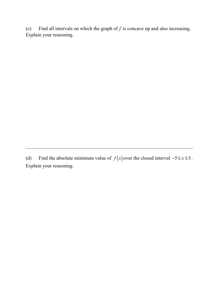(c) Find all intervals on which the graph of  $f$  is concave up and also increasing. Explain your reasoning.

(d) Find the absolute minimum value of  $f(x)$  over the closed interval  $-5 \le x \le 5$ . Explain your reasoning.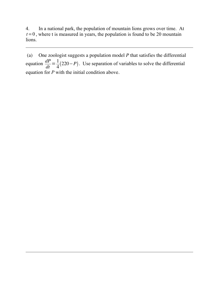4. In a national park, the population of mountain lions grows over time. At  $t = 0$ , where t is measured in years, the population is found to be 20 mountain lions.

(a) One zoologist suggests a population model *P* that satisfies the differential equation  $\frac{dP}{dt} = \frac{1}{4}(220 - P)$ . Use separation of variables to solve the differential equation for *P* with the initial condition above.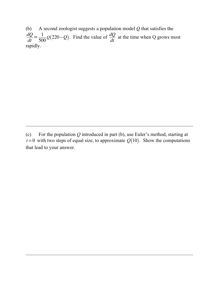(b) A second zoologist suggests a population model *Q* that satisfies the  $\frac{dQ}{dt} = \frac{1}{500}Q(220 - Q)$ . Find the value of  $\frac{dQ}{dt}$  at the time when Q grows most rapidly.

<sup>(</sup>c) For the population *Q* introduced in part (b), use Euler's method, starting at  $t = 0$  with two steps of equal size, to approximate  $Q(10)$ . Show the computations that lead to your answer.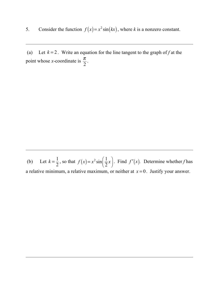5. Consider the function  $f(x) = x^2 \sin(kx)$ , where *k* is a nonzero constant.

(a) Let  $k = 2$ . Write an equation for the line tangent to the graph of f at the point whose *x*-coordinate is  $\frac{\pi}{2}$ .

(b) Let  $k = \frac{1}{2}$ , so that  $f(x) = x^2 \sin\left(\frac{1}{2}x\right)$  $\lambda$  $\int$ . Find  $f'(x)$ . Determine whether *f* has a relative minimum, a relative maximum, or neither at  $x = 0$ . Justify your answer.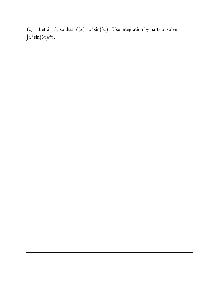(c) Let  $k = 3$ , so that  $f(x) = x^2 \sin(3x)$ . Use integration by parts to solve  $\int x^2 \sin(3x) dx$ .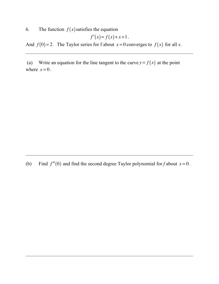6. The function  $f(x)$  satisfies the equation

$$
f'(x) = f(x) + x + 1.
$$

And  $f(0)=2$ . The Taylor series for f about  $x=0$  converges to  $f(x)$  for all  $x$ .

(a) Write an equation for the line tangent to the curve  $y = f(x)$  at the point where  $x=0$ .

(b) Find  $f''(0)$  and find the second degree Taylor polynomial for *f* about  $x = 0$ .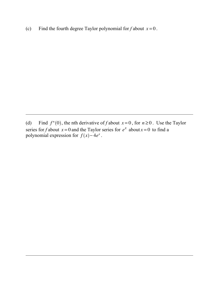(c) Find the fourth degree Taylor polynomial for  $f$  about  $x = 0$ .

(d) Find  $f^{n}(0)$ , the nth derivative of *f* about  $x = 0$ , for  $n \ge 0$ . Use the Taylor series for *f* about  $x = 0$  and the Taylor series for  $e^x$  about  $x = 0$  to find a polynomial expression for  $f(x) - 4e^x$ .